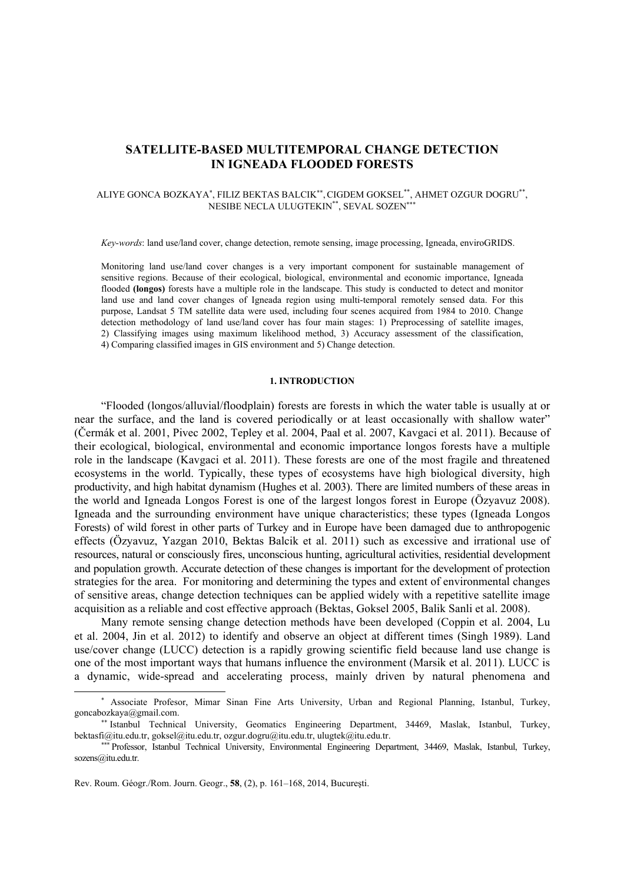# **SATELLITE-BASED MULTITEMPORAL CHANGE DETECTION IN IGNEADA FLOODED FORESTS**

## ALIYE GONCA BOZKAYA<sup>∗</sup> , FILIZ BEKTAS BALCIK∗∗, CIGDEM GOKSEL\*\*, AHMET OZGUR DOGRU\*\*, NESIBE NECLA ULUGTEKIN<sup>\*\*</sup>, SEVAL SOZEN<sup>\*</sup>

*Key-words*: land use/land cover, change detection, remote sensing, image processing, Igneada, enviroGRIDS.

Monitoring land use/land cover changes is a very important component for sustainable management of sensitive regions. Because of their ecological, biological, environmental and economic importance, Igneada flooded **(longos)** forests have a multiple role in the landscape. This study is conducted to detect and monitor land use and land cover changes of Igneada region using multi-temporal remotely sensed data. For this purpose, Landsat 5 TM satellite data were used, including four scenes acquired from 1984 to 2010. Change detection methodology of land use/land cover has four main stages: 1) Preprocessing of satellite images, 2) Classifying images using maximum likelihood method, 3) Accuracy assessment of the classification, 4) Comparing classified images in GIS environment and 5) Change detection.

#### **1. INTRODUCTION**

"Flooded (longos/alluvial/floodplain) forests are forests in which the water table is usually at or near the surface, and the land is covered periodically or at least occasionally with shallow water" (Čermák et al. 2001, Pivec 2002, Tepley et al. 2004, Paal et al. 2007, Kavgaci et al. 2011). Because of their ecological, biological, environmental and economic importance longos forests have a multiple role in the landscape (Kavgaci et al. 2011). These forests are one of the most fragile and threatened ecosystems in the world. Typically, these types of ecosystems have high biological diversity, high productivity, and high habitat dynamism (Hughes et al. 2003). There are limited numbers of these areas in the world and Igneada Longos Forest is one of the largest longos forest in Europe (Özyavuz 2008). Igneada and the surrounding environment have unique characteristics; these types (Igneada Longos Forests) of wild forest in other parts of Turkey and in Europe have been damaged due to anthropogenic effects (Özyavuz, Yazgan 2010, Bektas Balcik et al. 2011) such as excessive and irrational use of resources, natural or consciously fires, unconscious hunting, agricultural activities, residential development and population growth. Accurate detection of these changes is important for the development of protection strategies for the area. For monitoring and determining the types and extent of environmental changes of sensitive areas, change detection techniques can be applied widely with a repetitive satellite image acquisition as a reliable and cost effective approach (Bektas, Goksel 2005, Balik Sanli et al. 2008).

Many remote sensing change detection methods have been developed (Coppin et al. 2004, Lu et al. 2004, Jin et al. 2012) to identify and observe an object at different times (Singh 1989). Land use/cover change (LUCC) detection is a rapidly growing scientific field because land use change is one of the most important ways that humans influence the environment (Marsik et al. 2011). LUCC is a dynamic, wide-spread and accelerating process, mainly driven by natural phenomena and

 $\overline{a}$ 

<sup>∗</sup> Associate Profesor, Mimar Sinan Fine Arts University, Urban and Regional Planning, Istanbul, Turkey, goncabozkaya@gmail.com.

<sup>∗∗</sup> Istanbul Technical University, Geomatics Engineering Department, 34469, Maslak, Istanbul, Turkey, bektasfi@itu.edu.tr, goksel@itu.edu.tr, ozgur.dogru@itu.edu.tr, ulugtek@itu.edu.tr.

<sup>∗∗∗</sup> Professor, Istanbul Technical University, Environmental Engineering Department, 34469, Maslak, Istanbul, Turkey, sozens@itu.edu.tr.

Rev. Roum. Géogr./Rom. Journ. Geogr., **58**, (2), p. 161–168, 2014, Bucureşti.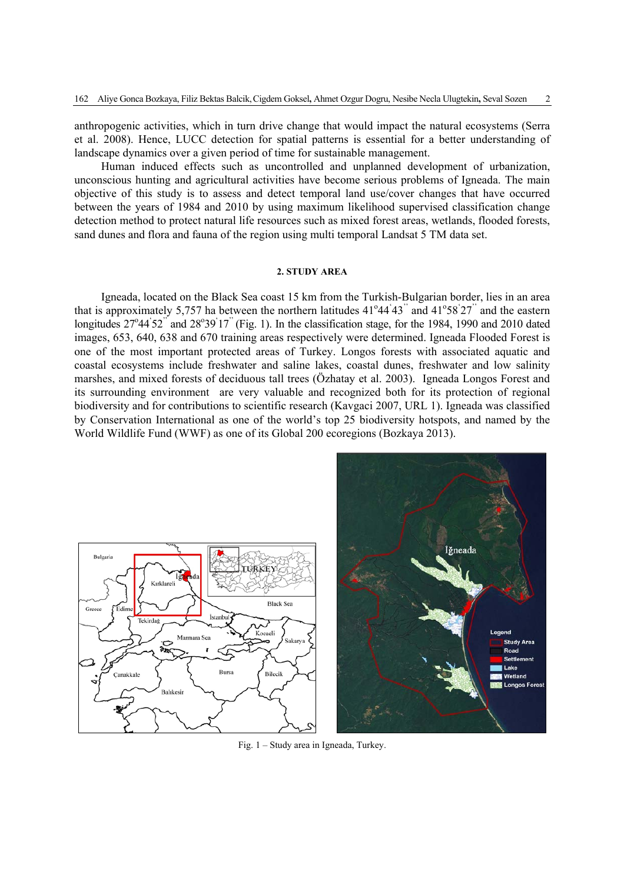anthropogenic activities, which in turn drive change that would impact the natural ecosystems (Serra et al. 2008). Hence, LUCC detection for spatial patterns is essential for a better understanding of landscape dynamics over a given period of time for sustainable management.

Human induced effects such as uncontrolled and unplanned development of urbanization, unconscious hunting and agricultural activities have become serious problems of Igneada. The main objective of this study is to assess and detect temporal land use/cover changes that have occurred between the years of 1984 and 2010 by using maximum likelihood supervised classification change detection method to protect natural life resources such as mixed forest areas, wetlands, flooded forests, sand dunes and flora and fauna of the region using multi temporal Landsat 5 TM data set.

## **2. STUDY AREA**

Igneada, located on the Black Sea coast 15 km from the Turkish-Bulgarian border, lies in an area that is approximately 5,757 ha between the northern latitudes  $41^{\circ}44^{\circ}43^{\circ}$  and  $41^{\circ}58^{\circ}27^{\circ}$  and the eastern longitudes 27°44'52" and 28°39'17" (Fig. 1). In the classification stage, for the 1984, 1990 and 2010 dated images, 653, 640, 638 and 670 training areas respectively were determined. Igneada Flooded Forest is one of the most important protected areas of Turkey. Longos forests with associated aquatic and coastal ecosystems include freshwater and saline lakes, coastal dunes, freshwater and low salinity marshes, and mixed forests of deciduous tall trees (Özhatay et al. 2003). Igneada Longos Forest and its surrounding environment are very valuable and recognized both for its protection of regional biodiversity and for contributions to scientific research (Kavgaci 2007, URL 1). Igneada was classified by Conservation International as one of the world's top 25 biodiversity hotspots, and named by the World Wildlife Fund (WWF) as one of its Global 200 ecoregions (Bozkaya 2013).



Fig. 1 – Study area in Igneada, Turkey.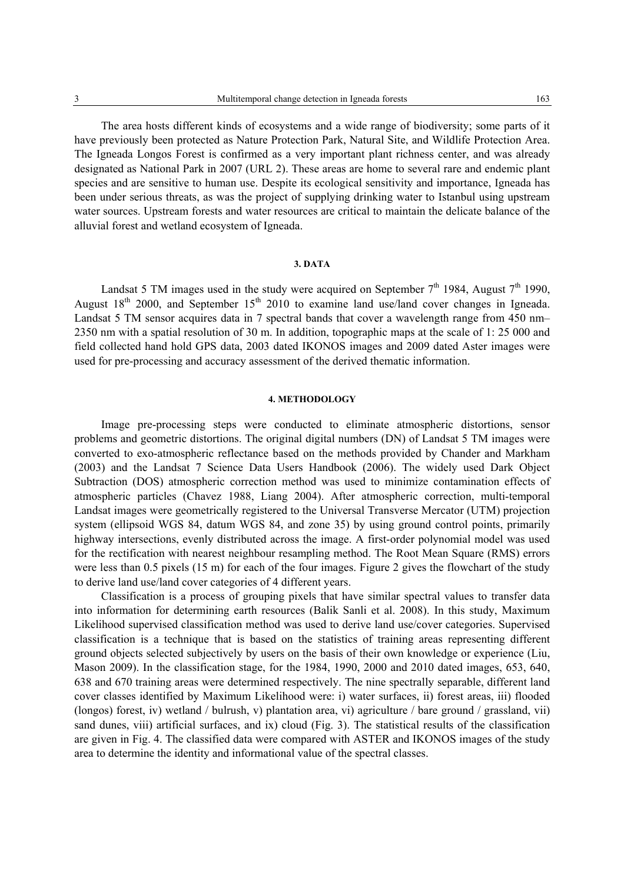The area hosts different kinds of ecosystems and a wide range of biodiversity; some parts of it have previously been protected as Nature Protection Park, Natural Site, and Wildlife Protection Area. The Igneada Longos Forest is confirmed as a very important plant richness center, and was already designated as National Park in 2007 (URL 2). These areas are home to several rare and endemic plant species and are sensitive to human use. Despite its ecological sensitivity and importance, Igneada has been under serious threats, as was the project of supplying drinking water to Istanbul using upstream water sources. Upstream forests and water resources are critical to maintain the delicate balance of the alluvial forest and wetland ecosystem of Igneada.

#### **3. DATA**

Landsat 5 TM images used in the study were acquired on September  $7<sup>th</sup>$  1984, August  $7<sup>th</sup>$  1990, August  $18<sup>th</sup>$  2000, and September  $15<sup>th</sup>$  2010 to examine land use/land cover changes in Igneada. Landsat 5 TM sensor acquires data in 7 spectral bands that cover a wavelength range from 450 nm– 2350 nm with a spatial resolution of 30 m. In addition, topographic maps at the scale of 1: 25 000 and field collected hand hold GPS data, 2003 dated IKONOS images and 2009 dated Aster images were used for pre-processing and accuracy assessment of the derived thematic information.

### **4. METHODOLOGY**

Image pre-processing steps were conducted to eliminate atmospheric distortions, sensor problems and geometric distortions. The original digital numbers (DN) of Landsat 5 TM images were converted to exo-atmospheric reflectance based on the methods provided by Chander and Markham (2003) and the Landsat 7 Science Data Users Handbook (2006). The widely used Dark Object Subtraction (DOS) atmospheric correction method was used to minimize contamination effects of atmospheric particles (Chavez 1988, Liang 2004). After atmospheric correction, multi-temporal Landsat images were geometrically registered to the Universal Transverse Mercator (UTM) projection system (ellipsoid WGS 84, datum WGS 84, and zone 35) by using ground control points, primarily highway intersections, evenly distributed across the image. A first-order polynomial model was used for the rectification with nearest neighbour resampling method. The Root Mean Square (RMS) errors were less than 0.5 pixels (15 m) for each of the four images. Figure 2 gives the flowchart of the study to derive land use/land cover categories of 4 different years.

Classification is a process of grouping pixels that have similar spectral values to transfer data into information for determining earth resources (Balik Sanli et al. 2008). In this study, Maximum Likelihood supervised classification method was used to derive land use/cover categories. Supervised classification is a technique that is based on the statistics of training areas representing different ground objects selected subjectively by users on the basis of their own knowledge or experience (Liu, Mason 2009). In the classification stage, for the 1984, 1990, 2000 and 2010 dated images, 653, 640, 638 and 670 training areas were determined respectively. The nine spectrally separable, different land cover classes identified by Maximum Likelihood were: i) water surfaces, ii) forest areas, iii) flooded (longos) forest, iv) wetland / bulrush, v) plantation area, vi) agriculture / bare ground / grassland, vii) sand dunes, viii) artificial surfaces, and ix) cloud (Fig. 3). The statistical results of the classification are given in Fig. 4. The classified data were compared with ASTER and IKONOS images of the study area to determine the identity and informational value of the spectral classes.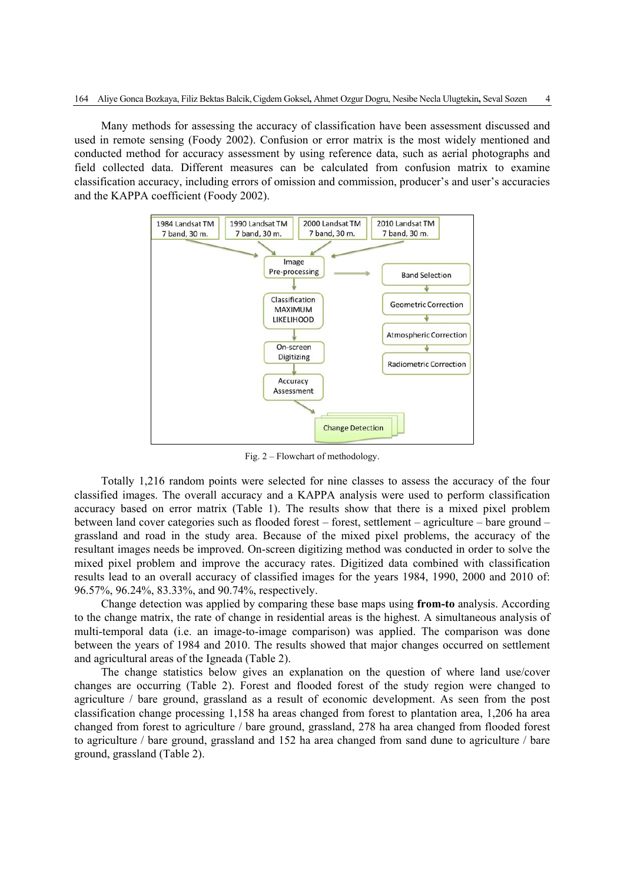Many methods for assessing the accuracy of classification have been assessment discussed and used in remote sensing (Foody 2002). Confusion or error matrix is the most widely mentioned and conducted method for accuracy assessment by using reference data, such as aerial photographs and field collected data. Different measures can be calculated from confusion matrix to examine classification accuracy, including errors of omission and commission, producer's and user's accuracies and the KAPPA coefficient (Foody 2002).



Fig. 2 – Flowchart of methodology.

Totally 1,216 random points were selected for nine classes to assess the accuracy of the four classified images. The overall accuracy and a KAPPA analysis were used to perform classification accuracy based on error matrix (Table 1). The results show that there is a mixed pixel problem between land cover categories such as flooded forest – forest, settlement – agriculture – bare ground – grassland and road in the study area. Because of the mixed pixel problems, the accuracy of the resultant images needs be improved. On-screen digitizing method was conducted in order to solve the mixed pixel problem and improve the accuracy rates. Digitized data combined with classification results lead to an overall accuracy of classified images for the years 1984, 1990, 2000 and 2010 of: 96.57%, 96.24%, 83.33%, and 90.74%, respectively.

Change detection was applied by comparing these base maps using **from-to** analysis. According to the change matrix, the rate of change in residential areas is the highest. A simultaneous analysis of multi-temporal data (i.e. an image-to-image comparison) was applied. The comparison was done between the years of 1984 and 2010. The results showed that major changes occurred on settlement and agricultural areas of the Igneada (Table 2).

The change statistics below gives an explanation on the question of where land use/cover changes are occurring (Table 2). Forest and flooded forest of the study region were changed to agriculture / bare ground, grassland as a result of economic development. As seen from the post classification change processing 1,158 ha areas changed from forest to plantation area, 1,206 ha area changed from forest to agriculture / bare ground, grassland, 278 ha area changed from flooded forest to agriculture / bare ground, grassland and 152 ha area changed from sand dune to agriculture / bare ground, grassland (Table 2).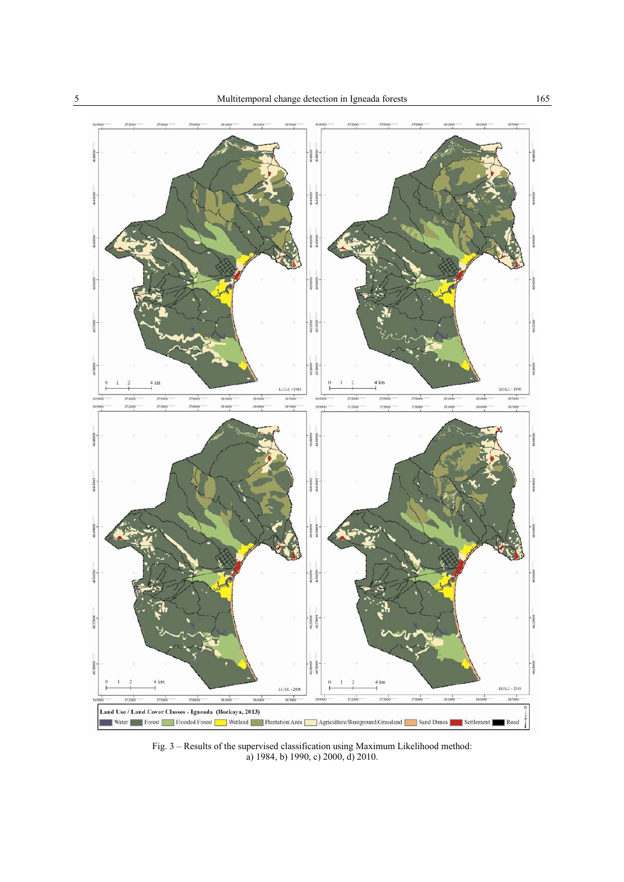

Fig. 3 – Results of the supervised classification using Maximum Likelihood method: a) 1984, b) 1990, c) 2000, d) 2010.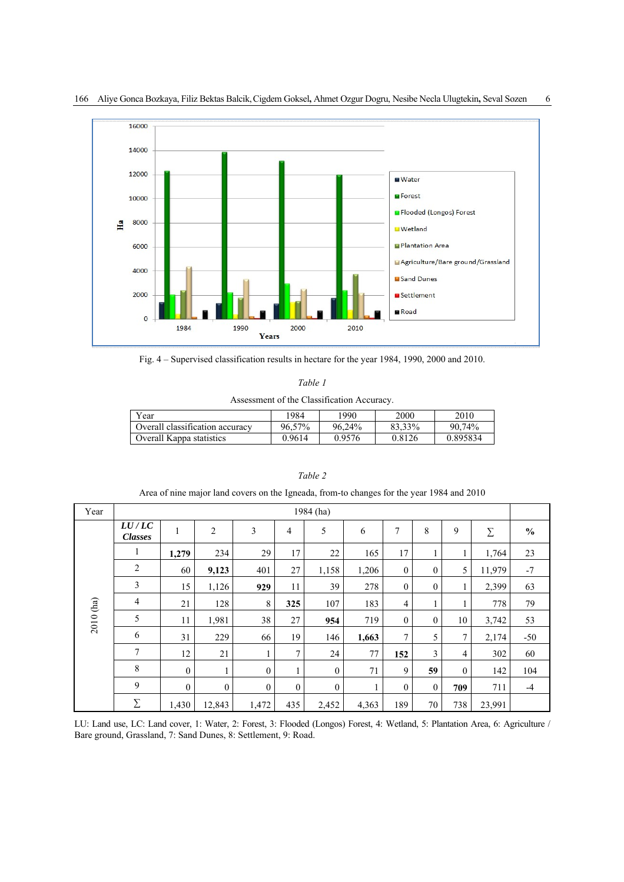

166 Aliye Gonca Bozkaya, Filiz Bektas Balcik, Cigdem Goksel, Ahmet Ozgur Dogru, Nesibe Necla Ulugtekin, Seval Sozen 6

Fig. 4 – Supervised classification results in hectare for the year 1984, 1990, 2000 and 2010.

|  |  | Assessment of the Classification Accuracy. |  |
|--|--|--------------------------------------------|--|
|--|--|--------------------------------------------|--|

| Year                            | 1984   | 1990   | 2000   | 2010     |
|---------------------------------|--------|--------|--------|----------|
| Overall classification accuracy | 96.57% | 96.24% | 83.33% | 90.74%   |
| Overall Kappa statistics        | 0.9614 | 0.9576 | 0.8126 | 0.895834 |

| Year      | 1984 (ha)               |                |                |                  |                |                  |       |                  |              |              |          |               |
|-----------|-------------------------|----------------|----------------|------------------|----------------|------------------|-------|------------------|--------------|--------------|----------|---------------|
| 2010 (ha) | LU/LC<br><b>Classes</b> | $\mathbf{1}$   | $\overline{c}$ | 3                | $\overline{4}$ | 5                | 6     | 7                | 8            | 9            | $\Sigma$ | $\frac{0}{0}$ |
|           | 1                       | 1,279          | 234            | 29               | 17             | 22               | 165   | 17               | 1            | 1            | 1,764    | 23            |
|           | $\overline{2}$          | 60             | 9,123          | 401              | 27             | 1,158            | 1,206 | $\overline{0}$   | $\mathbf{0}$ | 5            | 11,979   | $-7$          |
|           | $\overline{3}$          | 15             | 1,126          | 929              | 11             | 39               | 278   | $\boldsymbol{0}$ | $\mathbf{0}$ | 1            | 2,399    | 63            |
|           | $\overline{4}$          | 21             | 128            | 8                | 325            | 107              | 183   | 4                | $\mathbf{I}$ | 1            | 778      | 79            |
|           | 5                       | 11             | 1,981          | 38               | 27             | 954              | 719   | $\overline{0}$   | $\mathbf{0}$ | 10           | 3,742    | 53            |
|           | 6                       | 31             | 229            | 66               | 19             | 146              | 1,663 | $\tau$           | 5            | 7            | 2,174    | $-50$         |
|           | $\tau$                  | 12             | 21             | 1                | 7              | 24               | 77    | 152              | 3            | 4            | 302      | 60            |
|           | 8                       | $\overline{0}$ |                | $\boldsymbol{0}$ |                | $\boldsymbol{0}$ | 71    | 9                | 59           | $\mathbf{0}$ | 142      | 104           |
|           | 9                       | $\overline{0}$ | $\mathbf{0}$   | $\theta$         | $\mathbf{0}$   | $\mathbf{0}$     |       | $\overline{0}$   | $\mathbf{0}$ | 709          | 711      | $-4$          |
|           | Σ                       | 1,430          | 12,843         | 1,472            | 435            | 2,452            | 4,363 | 189              | 70           | 738          | 23,991   |               |

## *Table 2*

Area of nine major land covers on the Igneada, from-to changes for the year 1984 and 2010

LU: Land use, LC: Land cover, 1: Water, 2: Forest, 3: Flooded (Longos) Forest, 4: Wetland, 5: Plantation Area, 6: Agriculture / Bare ground, Grassland, 7: Sand Dunes, 8: Settlement, 9: Road.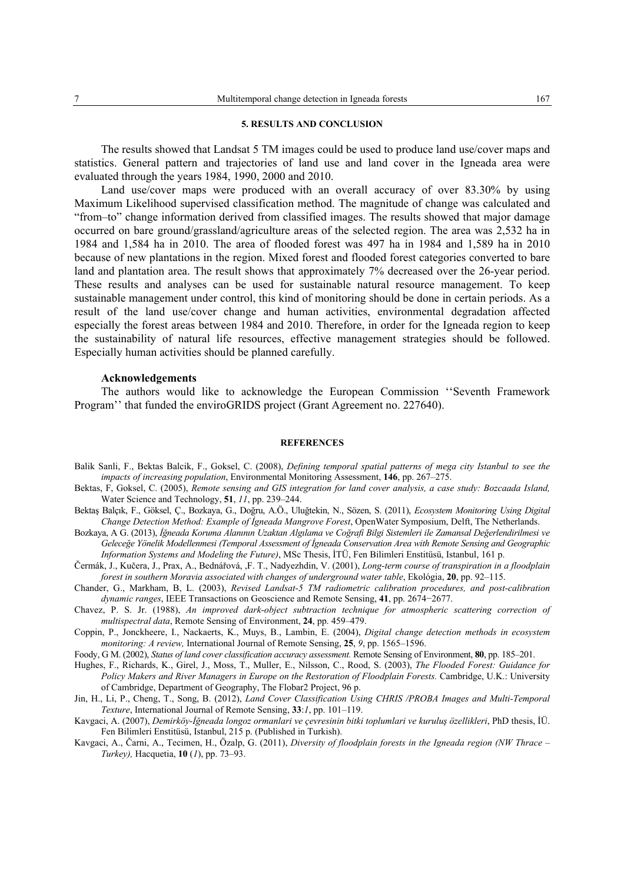#### **5. RESULTS AND CONCLUSION**

The results showed that Landsat 5 TM images could be used to produce land use/cover maps and statistics. General pattern and trajectories of land use and land cover in the Igneada area were evaluated through the years 1984, 1990, 2000 and 2010.

Land use/cover maps were produced with an overall accuracy of over 83.30% by using Maximum Likelihood supervised classification method. The magnitude of change was calculated and "from–to" change information derived from classified images. The results showed that major damage occurred on bare ground/grassland/agriculture areas of the selected region. The area was 2,532 ha in 1984 and 1,584 ha in 2010. The area of flooded forest was 497 ha in 1984 and 1,589 ha in 2010 because of new plantations in the region. Mixed forest and flooded forest categories converted to bare land and plantation area. The result shows that approximately 7% decreased over the 26-year period. These results and analyses can be used for sustainable natural resource management. To keep sustainable management under control, this kind of monitoring should be done in certain periods. As a result of the land use/cover change and human activities, environmental degradation affected especially the forest areas between 1984 and 2010. Therefore, in order for the Igneada region to keep the sustainability of natural life resources, effective management strategies should be followed. Especially human activities should be planned carefully.

#### **Acknowledgements**

The authors would like to acknowledge the European Commission ''Seventh Framework Program'' that funded the enviroGRIDS project (Grant Agreement no. 227640).

#### **REFERENCES**

- Balik Sanli, F., Bektas Balcik, F., Goksel, C. (2008), *Defining temporal spatial patterns of mega city Istanbul to see the impacts of increasing population*, Environmental Monitoring Assessment, **146**, pp. 267–275.
- Bektas, F, Goksel, C. (2005), *Remote sensing and GIS integration for land cover analysis, a case study: Bozcaada Island,*  Water Science and Technology, **51**, *11*, pp. 239–244.
- Bektaş Balçık, F., Göksel, Ç., Bozkaya, G., Doğru, A.Ö., Uluğtekin, N., Sözen, S. (2011), *Ecosystem Monitoring Using Digital Change Detection Method: Example of İgneada Mangrove Forest*, OpenWater Symposium, Delft, The Netherlands.
- Bozkaya, A G. (2013), *İğneada Koruma Alanının Uzaktan Algılama ve Coğrafi Bilgi Sistemleri ile Zamansal Değerlendirilmesi ve Geleceğe Yönelik Modellenmesi (Temporal Assessment of İgneada Conservation Area with Remote Sensing and Geographic Information Systems and Modeling the Future)*, MSc Thesis, İTÜ, Fen Bilimleri Enstitüsü, Istanbul, 161 p.
- Čermák, J., Kučera, J., Prax, A., Bednářová, ,F. T., Nadyezhdin, V. (2001), *Long-term course of transpiration in a floodplain forest in southern Moravia associated with changes of underground water table*, Ekológia, **20**, pp. 92–115.
- Chander, G., Markham, B, L. (2003), *Revised Landsat-5 TM radiometric calibration procedures, and post-calibration dynamic ranges*, IEEE Transactions on Geoscience and Remote Sensing, **41**, pp. 2674−2677.
- Chavez, P. S. Jr. (1988), *An improved dark-object subtraction technique for atmospheric scattering correction of multispectral data*, Remote Sensing of Environment, **24**, pp. 459–479.
- Coppin, P., Jonckheere, I., Nackaerts, K., Muys, B., Lambin, E. (2004), *Digital change detection methods in ecosystem monitoring: A review,* International Journal of Remote Sensing, **25**, *9*, pp. 1565–1596.
- Foody, G M. (2002), *Status of land cover classification accuracy assessment.* Remote Sensing of Environment, **80**, pp. 185–201.
- Hughes, F., Richards, K., Girel, J., Moss, T., Muller, E., Nilsson, C., Rood, S. (2003), *The Flooded Forest: Guidance for Policy Makers and River Managers in Europe on the Restoration of Floodplain Forests.* Cambridge, U.K.: University of Cambridge, Department of Geography, The Flobar2 Project, 96 p.
- Jin, H., Li, P., Cheng, T., Song, B. (2012), *Land Cover Classification Using CHRIS /PROBA Images and Multi-Temporal Texture*, International Journal of Remote Sensing, **33**:*1*, pp. 101–119.
- Kavgaci, A. (2007), *Demirköy-İğneada longoz ormanlari ve çevresinin bitki toplumlari ve kuruluş özellikleri*, PhD thesis, İÜ. Fen Bilimleri Enstitüsü, Istanbul, 215 p. (Published in Turkish).
- Kavgaci, A., Čarni, A., Tecimen, H., Özalp, G. (2011), *Diversity of floodplain forests in the Igneada region (NW Thrace Turkey),* Hacquetia, **10** (*1*), pp. 73–93.